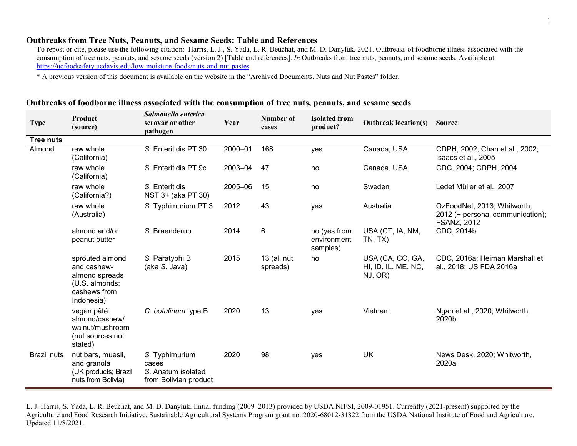## Outbreaks from Tree Nuts, Peanuts, and Sesame Seeds: Table and References

To repost or cite, please use the following citation: Harris, L. J., S. Yada, L. R. Beuchat, and M. D. Danyluk. 2021. Outbreaks of foodborne illness associated with the consumption of tree nuts, peanuts, and sesame seeds (version 2) [Table and references]. In Outbreaks from tree nuts, peanuts, and sesame seeds. Available at: https://ucfoodsafety.ucdavis.edu/low-moisture-foods/nuts-and-nut-pastes.

\* A previous version of this document is available on the website in the "Archived Documents, Nuts and Nut Pastes" folder.

## Outbreaks of foodborne illness associated with the consumption of tree nuts, peanuts, and sesame seeds

| <b>Type</b>        | Product<br>(source)                                                                              | Salmonella enterica<br>serovar or other<br>pathogen                    | Year    | Number of<br>cases      | <b>Isolated from</b><br>product?        | <b>Outbreak location(s)</b>                        | <b>Source</b>                                                                         |
|--------------------|--------------------------------------------------------------------------------------------------|------------------------------------------------------------------------|---------|-------------------------|-----------------------------------------|----------------------------------------------------|---------------------------------------------------------------------------------------|
| <b>Tree nuts</b>   |                                                                                                  |                                                                        |         |                         |                                         |                                                    |                                                                                       |
| Almond             | raw whole<br>(California)                                                                        | S. Enteritidis PT 30                                                   | 2000-01 | 168                     | yes                                     | Canada, USA                                        | CDPH, 2002; Chan et al., 2002;<br>Isaacs et al., 2005                                 |
|                    | raw whole<br>(California)                                                                        | S. Enteritidis PT 9c                                                   | 2003-04 | 47                      | no                                      | Canada, USA                                        | CDC, 2004; CDPH, 2004                                                                 |
|                    | raw whole<br>(California?)                                                                       | S. Enteritidis<br>NST 3+ (aka PT 30)                                   | 2005-06 | 15                      | no                                      | Sweden                                             | Ledet Müller et al., 2007                                                             |
|                    | raw whole<br>(Australia)                                                                         | S. Typhimurium PT 3                                                    | 2012    | 43                      | yes                                     | Australia                                          | OzFoodNet, 2013; Whitworth,<br>2012 (+ personal communication);<br><b>FSANZ, 2012</b> |
|                    | almond and/or<br>peanut butter                                                                   | S. Braenderup                                                          | 2014    | 6                       | no (yes from<br>environment<br>samples) | USA (CT, IA, NM,<br>TN, TX                         | CDC, 2014b                                                                            |
|                    | sprouted almond<br>and cashew-<br>almond spreads<br>(U.S. almonds;<br>cashews from<br>Indonesia) | S. Paratyphi B<br>(aka S. Java)                                        | 2015    | 13 (all nut<br>spreads) | no                                      | USA (CA, CO, GA,<br>HI, ID, IL, ME, NC,<br>NJ, OR) | CDC, 2016a; Heiman Marshall et<br>al., 2018; US FDA 2016a                             |
|                    | vegan pâté:<br>almond/cashew/<br>walnut/mushroom<br>(nut sources not<br>stated)                  | C. botulinum type B                                                    | 2020    | 13                      | yes                                     | Vietnam                                            | Ngan et al., 2020; Whitworth,<br>2020b                                                |
| <b>Brazil nuts</b> | nut bars, muesli,<br>and granola<br>(UK products; Brazil<br>nuts from Bolivia)                   | S. Typhimurium<br>cases<br>S. Anatum isolated<br>from Bolivian product | 2020    | 98                      | yes                                     | <b>UK</b>                                          | News Desk, 2020; Whitworth,<br>2020a                                                  |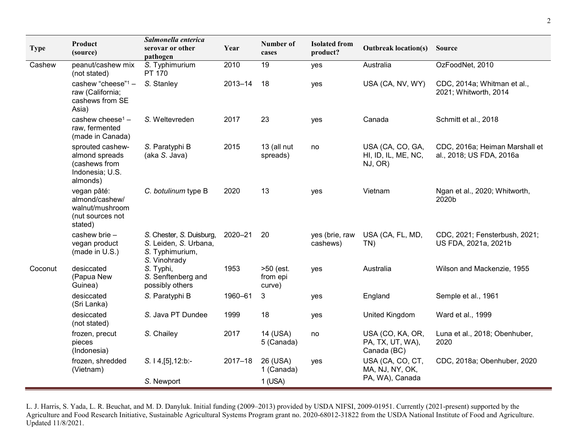| <b>Type</b> | Product<br>(source)                                                                | Salmonella enterica<br>serovar or other<br>pathogen                                  | Year        | Number of<br>cases              | <b>Isolated from</b><br>product? | <b>Outbreak location(s)</b>                         | <b>Source</b>                                              |
|-------------|------------------------------------------------------------------------------------|--------------------------------------------------------------------------------------|-------------|---------------------------------|----------------------------------|-----------------------------------------------------|------------------------------------------------------------|
| Cashew      | peanut/cashew mix<br>(not stated)                                                  | S. Typhimurium<br><b>PT 170</b>                                                      | 2010        | 19                              | yes                              | Australia                                           | OzFoodNet, 2010                                            |
|             | cashew "cheese" $1 -$<br>raw (California;<br>cashews from SE<br>Asia)              | S. Stanley                                                                           | $2013 - 14$ | 18                              | yes                              | USA (CA, NV, WY)                                    | CDC, 2014a; Whitman et al.,<br>2021; Whitworth, 2014       |
|             | cashew cheese <sup>1</sup> -<br>raw, fermented<br>(made in Canada)                 | S. Weltevreden                                                                       | 2017        | 23                              | yes                              | Canada                                              | Schmitt et al., 2018                                       |
|             | sprouted cashew-<br>almond spreads<br>(cashews from<br>Indonesia; U.S.<br>almonds) | S. Paratyphi B<br>(aka S. Java)                                                      | 2015        | 13 (all nut<br>spreads)         | no                               | USA (CA, CO, GA,<br>HI, ID, IL, ME, NC,<br>NJ, OR)  | CDC, 2016a; Heiman Marshall et<br>al., 2018; US FDA, 2016a |
|             | vegan pâté:<br>almond/cashew/<br>walnut/mushroom<br>(nut sources not<br>stated)    | C. botulinum type B                                                                  | 2020        | 13                              | yes                              | Vietnam                                             | Ngan et al., 2020; Whitworth,<br>2020b                     |
|             | cashew brie -<br>vegan product<br>(made in U.S.)                                   | S. Chester, S. Duisburg,<br>S. Leiden, S. Urbana,<br>S. Typhimurium,<br>S. Vinohrady | 2020-21     | 20                              | yes (brie, raw<br>cashews)       | USA (CA, FL, MD,<br>$TN$ )                          | CDC, 2021; Fensterbush, 2021;<br>US FDA, 2021a, 2021b      |
| Coconut     | desiccated<br>(Papua New<br>Guinea)                                                | S. Typhi,<br>S. Senftenberg and<br>possibly others                                   | 1953        | >50 (est.<br>from epi<br>curve) | yes                              | Australia                                           | Wilson and Mackenzie, 1955                                 |
|             | desiccated<br>(Sri Lanka)                                                          | S. Paratyphi B                                                                       | 1960-61     | 3                               | yes                              | England                                             | Semple et al., 1961                                        |
|             | desiccated<br>(not stated)                                                         | S. Java PT Dundee                                                                    | 1999        | 18                              | yes                              | United Kingdom                                      | Ward et al., 1999                                          |
|             | frozen, precut<br>pieces<br>(Indonesia)                                            | S. Chailey                                                                           | 2017        | 14 (USA)<br>5 (Canada)          | no                               | USA (CO, KA, OR,<br>PA, TX, UT, WA),<br>Canada (BC) | Luna et al., 2018; Obenhuber,<br>2020                      |
|             | frozen, shredded<br>(Vietnam)                                                      | S. 14, [5], 12:b.                                                                    | $2017 - 18$ | 26 (USA)<br>1 (Canada)          | yes                              | USA (CA, CO, CT,<br>MA, NJ, NY, OK,                 | CDC, 2018a; Obenhuber, 2020                                |
|             |                                                                                    | S. Newport                                                                           |             | $1$ (USA)                       |                                  | PA, WA), Canada                                     |                                                            |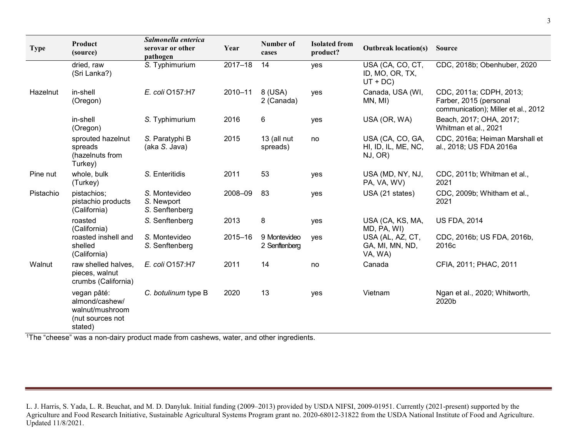| <b>Type</b> | Product<br>(source)                                                             | Salmonella enterica<br>serovar or other<br>pathogen | Year        | Number of<br>cases            | <b>Isolated from</b><br>product? | <b>Outbreak location(s)</b>                        | <b>Source</b>                                                                            |
|-------------|---------------------------------------------------------------------------------|-----------------------------------------------------|-------------|-------------------------------|----------------------------------|----------------------------------------------------|------------------------------------------------------------------------------------------|
|             | dried, raw<br>(Sri Lanka?)                                                      | S. Typhimurium                                      | $2017 - 18$ | 14                            | yes                              | USA (CA, CO, CT,<br>ID, MO, OR, TX,<br>$UT + DC$ ) | CDC, 2018b; Obenhuber, 2020                                                              |
| Hazelnut    | in-shell<br>(Oregon)                                                            | E. coli O157:H7                                     | $2010 - 11$ | 8 (USA)<br>2 (Canada)         | yes                              | Canada, USA (WI,<br>MN, MI)                        | CDC, 2011a; CDPH, 2013;<br>Farber, 2015 (personal<br>communication); Miller et al., 2012 |
|             | in-shell<br>(Oregon)                                                            | S. Typhimurium                                      | 2016        | 6                             | yes                              | USA (OR, WA)                                       | Beach, 2017; OHA, 2017;<br>Whitman et al., 2021                                          |
|             | sprouted hazelnut<br>spreads<br>(hazelnuts from<br>Turkey)                      | S. Paratyphi B<br>(aka S. Java)                     | 2015        | 13 (all nut<br>spreads)       | no                               | USA (CA, CO, GA,<br>HI, ID, IL, ME, NC,<br>NJ, OR) | CDC, 2016a; Heiman Marshall et<br>al., 2018; US FDA 2016a                                |
| Pine nut    | whole, bulk<br>(Turkey)                                                         | S. Enteritidis                                      | 2011        | 53                            | yes                              | USA (MD, NY, NJ,<br>PA, VA, WV)                    | CDC, 2011b; Whitman et al.,<br>2021                                                      |
| Pistachio   | pistachios;<br>pistachio products<br>(California)                               | S. Montevideo<br>S. Newport<br>S. Senftenberg       | 2008-09     | 83                            | yes                              | USA (21 states)                                    | CDC, 2009b; Whitham et al.,<br>2021                                                      |
|             | roasted<br>(California)                                                         | S. Senftenberg                                      | 2013        | 8                             | yes                              | USA (CA, KS, MA,<br>MD, PA, WI)                    | <b>US FDA, 2014</b>                                                                      |
|             | roasted inshell and<br>shelled<br>(California)                                  | S. Montevideo<br>S. Senftenberg                     | 2015-16     | 9 Montevideo<br>2 Senftenberg | ves                              | USA (AL, AZ, CT,<br>GA, MI, MN, ND,<br>VA, WA)     | CDC, 2016b; US FDA, 2016b,<br>2016c                                                      |
| Walnut      | raw shelled halves,<br>pieces, walnut<br>crumbs (California)                    | E. coli O157:H7                                     | 2011        | 14                            | no                               | Canada                                             | CFIA, 2011; PHAC, 2011                                                                   |
|             | vegan pâté:<br>almond/cashew/<br>walnut/mushroom<br>(nut sources not<br>stated) | C. botulinum type B                                 | 2020        | 13                            | yes                              | Vietnam                                            | Ngan et al., 2020; Whitworth,<br>2020b                                                   |

<sup>1</sup>The "cheese" was a non-dairy product made from cashews, water, and other ingredients.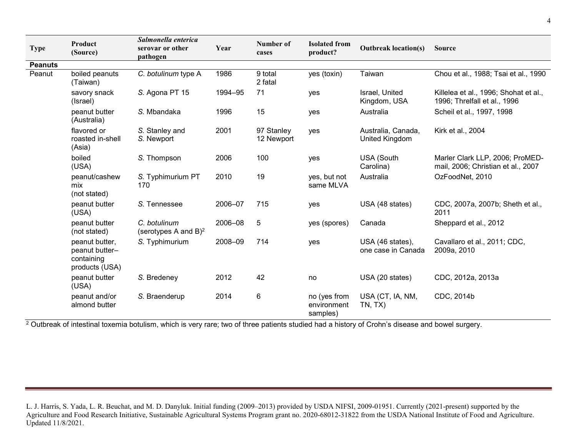| <b>Type</b>    | Product<br>(Source)                                              | Salmonella enterica<br>serovar or other<br>pathogen | Year    | Number of<br>cases       | <b>Isolated from</b><br>product?        | <b>Outbreak location(s)</b>            | <b>Source</b>                                                         |
|----------------|------------------------------------------------------------------|-----------------------------------------------------|---------|--------------------------|-----------------------------------------|----------------------------------------|-----------------------------------------------------------------------|
| <b>Peanuts</b> |                                                                  |                                                     |         |                          |                                         |                                        |                                                                       |
| Peanut         | boiled peanuts<br>(Taiwan)                                       | C. botulinum type A                                 | 1986    | 9 total<br>2 fatal       | yes (toxin)                             | Taiwan                                 | Chou et al., 1988; Tsai et al., 1990                                  |
|                | savory snack<br>(Israel)                                         | S. Agona PT 15                                      | 1994-95 | 71                       | yes                                     | Israel, United<br>Kingdom, USA         | Killelea et al., 1996; Shohat et al.,<br>1996; Threlfall et al., 1996 |
|                | peanut butter<br>(Australia)                                     | S. Mbandaka                                         | 1996    | 15                       | yes                                     | Australia                              | Scheil et al., 1997, 1998                                             |
|                | flavored or<br>roasted in-shell<br>(Asia)                        | S. Stanley and<br>S. Newport                        | 2001    | 97 Stanley<br>12 Newport | yes                                     | Australia, Canada,<br>United Kingdom   | Kirk et al., 2004                                                     |
|                | boiled<br>(USA)                                                  | S. Thompson                                         | 2006    | 100                      | yes                                     | <b>USA (South</b><br>Carolina)         | Marler Clark LLP, 2006; ProMED-<br>mail, 2006; Christian et al., 2007 |
|                | peanut/cashew<br>mix<br>(not stated)                             | S. Typhimurium PT<br>170                            | 2010    | 19                       | yes, but not<br>same MLVA               | Australia                              | OzFoodNet, 2010                                                       |
|                | peanut butter<br>(USA)                                           | S. Tennessee                                        | 2006-07 | 715                      | yes                                     | USA (48 states)                        | CDC, 2007a, 2007b; Sheth et al.,<br>2011                              |
|                | peanut butter<br>(not stated)                                    | C. botulinum<br>(serotypes A and $B$ ) <sup>2</sup> | 2006-08 | 5                        | yes (spores)                            | Canada                                 | Sheppard et al., 2012                                                 |
|                | peanut butter.<br>peanut butter-<br>containing<br>products (USA) | S. Typhimurium                                      | 2008-09 | 714                      | <b>ves</b>                              | USA (46 states),<br>one case in Canada | Cavallaro et al., 2011; CDC,<br>2009a, 2010                           |
|                | peanut butter<br>(USA)                                           | S. Bredeney                                         | 2012    | 42                       | no                                      | USA (20 states)                        | CDC, 2012a, 2013a                                                     |
|                | peanut and/or<br>almond butter                                   | S. Braenderup                                       | 2014    | 6                        | no (yes from<br>environment<br>samples) | USA (CT, IA, NM,<br>TN, TX             | CDC, 2014b                                                            |

<sup>2</sup> Outbreak of intestinal toxemia botulism, which is very rare; two of three patients studied had a history of Crohn's disease and bowel surgery.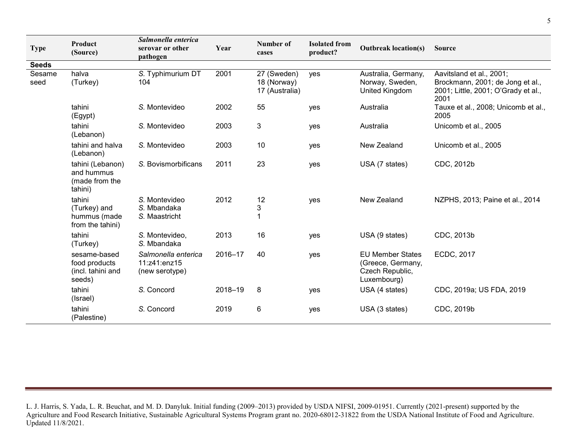| <b>Type</b>    | Product<br>(Source)                                          | Salmonella enterica<br>serovar or other<br>pathogen   | Year    | Number of<br>cases                           | <b>Isolated from</b><br>product? | <b>Outbreak location(s)</b>                                                    | <b>Source</b>                                                                                               |
|----------------|--------------------------------------------------------------|-------------------------------------------------------|---------|----------------------------------------------|----------------------------------|--------------------------------------------------------------------------------|-------------------------------------------------------------------------------------------------------------|
| <b>Seeds</b>   |                                                              |                                                       |         |                                              |                                  |                                                                                |                                                                                                             |
| Sesame<br>seed | halva<br>(Turkey)                                            | S. Typhimurium DT<br>104                              | 2001    | 27 (Sweden)<br>18 (Norway)<br>17 (Australia) | yes                              | Australia, Germany,<br>Norway, Sweden,<br>United Kingdom                       | Aavitsland et al., 2001;<br>Brockmann, 2001; de Jong et al.,<br>2001; Little, 2001; O'Grady et al.,<br>2001 |
|                | tahini<br>(Egypt)                                            | S. Montevideo                                         | 2002    | 55                                           | yes                              | Australia                                                                      | Tauxe et al., 2008; Unicomb et al.,<br>2005                                                                 |
|                | tahini<br>(Lebanon)                                          | S. Montevideo                                         | 2003    | 3                                            | yes                              | Australia                                                                      | Unicomb et al., 2005                                                                                        |
|                | tahini and halva<br>(Lebanon)                                | S. Montevideo                                         | 2003    | 10                                           | yes                              | New Zealand                                                                    | Unicomb et al., 2005                                                                                        |
|                | tahini (Lebanon)<br>and hummus<br>(made from the<br>tahini)  | S. Bovismorbificans                                   | 2011    | 23                                           | yes                              | USA (7 states)                                                                 | CDC, 2012b                                                                                                  |
|                | tahini<br>(Turkey) and<br>hummus (made<br>from the tahini)   | S. Montevideo<br>S. Mbandaka<br>S. Maastricht         | 2012    | 12<br>3                                      | yes                              | New Zealand                                                                    | NZPHS, 2013; Paine et al., 2014                                                                             |
|                | tahini<br>(Turkey)                                           | S. Montevideo,<br>S. Mbandaka                         | 2013    | 16                                           | yes                              | USA (9 states)                                                                 | CDC, 2013b                                                                                                  |
|                | sesame-based<br>food products<br>(incl. tahini and<br>seeds) | Salmonella enterica<br>11:z41:enz15<br>(new serotype) | 2016-17 | 40                                           | yes                              | <b>EU Member States</b><br>(Greece, Germany,<br>Czech Republic,<br>Luxembourg) | ECDC, 2017                                                                                                  |
|                | tahini<br>(Israel)                                           | S. Concord                                            | 2018-19 | 8                                            | yes                              | USA (4 states)                                                                 | CDC, 2019a; US FDA, 2019                                                                                    |
|                | tahini<br>(Palestine)                                        | S. Concord                                            | 2019    | $\,6\,$                                      | yes                              | USA (3 states)                                                                 | CDC, 2019b                                                                                                  |

L. J. Harris, S. Yada, L. R. Beuchat, and M. D. Danyluk. Initial funding (2009–2013) provided by USDA NIFSI, 2009-01951. Currently (2021-present) supported by the Agriculture and Food Research Initiative, Sustainable Agricultural Systems Program grant no. 2020-68012-31822 from the USDA National Institute of Food and Agriculture. Updated 11/8/2021.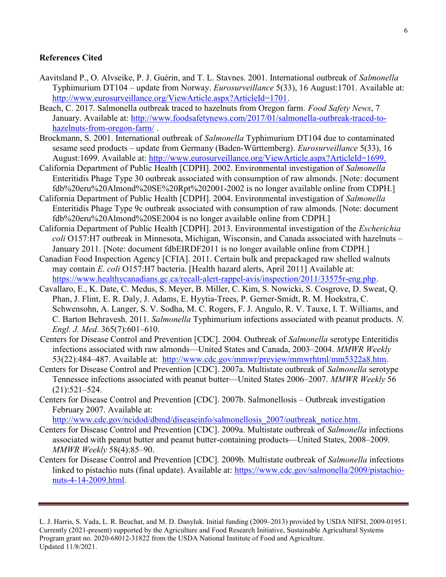## References Cited

- Aavitsland P., O. Alvseike, P. J. Guérin, and T. L. Stavnes. 2001. International outbreak of Salmonella Typhimurium DT104 – update from Norway. *Eurosurveillance* 5(33), 16 August:1701. Available at: http://www.eurosurveillance.org/ViewArticle.aspx?ArticleId=1701.
- Beach, C. 2017. Salmonella outbreak traced to hazelnuts from Oregon farm. Food Safety News, 7 January. Available at: http://www.foodsafetynews.com/2017/01/salmonella-outbreak-traced-tohazelnuts-from-oregon-farm/ .
- Brockmann, S. 2001. International outbreak of Salmonella Typhimurium DT104 due to contaminated sesame seed products – update from Germany (Baden-Württemberg). Eurosurveillance 5(33), 16 August:1699. Available at: http://www.eurosurveillance.org/ViewArticle.aspx?ArticleId=1699.
- California Department of Public Health [CDPH]. 2002. Environmental investigation of Salmonella Enteritidis Phage Type 30 outbreak associated with consumption of raw almonds. [Note: document fdb%20eru%20Almond%20SE%20Rpt%202001-2002 is no longer available online from CDPH.]
- California Department of Public Health [CDPH]. 2004. Environmental investigation of Salmonella Enteritidis Phage Type 9c outbreak associated with consumption of raw almonds. [Note: document fdb%20eru%20Almond%20SE2004 is no longer available online from CDPH.]
- California Department of Public Health [CDPH]. 2013. Environmental investigation of the Escherichia coli O157:H7 outbreak in Minnesota, Michigan, Wisconsin, and Canada associated with hazelnuts -January 2011. [Note: document fdbEIRDF2011 is no longer available online from CDPH.]
- Canadian Food Inspection Agency [CFIA]. 2011. Certain bulk and prepackaged raw shelled walnuts may contain E. coli O157:H7 bacteria. [Health hazard alerts, April 2011] Available at: https://www.healthycanadians.gc.ca/recall-alert-rappel-avis/inspection/2011/33575r-eng.php.
- Cavallaro, E., K. Date, C. Medus, S. Meyer, B. Miller, C. Kim, S. Nowicki, S. Cosgrove, D. Sweat, Q. Phan, J. Flint, E. R. Daly, J. Adams, E. Hyytia-Trees, P. Gerner-Smidt, R. M. Hoekstra, C. Schwensohn, A. Langer, S. V. Sodha, M. C. Rogers, F. J. Angulo, R. V. Tauxe, I. T. Williams, and C. Barton Behravesh. 2011. Salmonella Typhimurium infections associated with peanut products. N. Engl. J. Med. 365(7):601–610.
- Centers for Disease Control and Prevention [CDC]. 2004. Outbreak of Salmonella serotype Enteritidis infections associated with raw almonds—United States and Canada, 2003–2004. MMWR Weekly 53(22):484–487. Available at: http://www.cdc.gov/mmwr/preview/mmwrhtml/mm5322a8.htm.
- Centers for Disease Control and Prevention [CDC]. 2007a. Multistate outbreak of Salmonella serotype Tennessee infections associated with peanut butter—United States 2006–2007. MMWR Weekly 56 (21):521–524.
- Centers for Disease Control and Prevention [CDC]. 2007b. Salmonellosis Outbreak investigation February 2007. Available at: http://www.cdc.gov/ncidod/dbmd/diseaseinfo/salmonellosis\_2007/outbreak\_notice.htm.
- Centers for Disease Control and Prevention [CDC]. 2009a. Multistate outbreak of Salmonella infections associated with peanut butter and peanut butter-containing products—United States, 2008–2009. MMWR Weekly 58(4):85–90.
- Centers for Disease Control and Prevention [CDC]. 2009b. Multistate outbreak of Salmonella infections linked to pistachio nuts (final update). Available at: https://www.cdc.gov/salmonella/2009/pistachionuts-4-14-2009.html.

L. J. Harris, S. Yada, L. R. Beuchat, and M. D. Danyluk. Initial funding (2009–2013) provided by USDA NIFSI, 2009-01951. Currently (2021-present) supported by the Agriculture and Food Research Initiative, Sustainable Agricultural Systems Program grant no. 2020-68012-31822 from the USDA National Institute of Food and Agriculture. Updated 11/8/2021.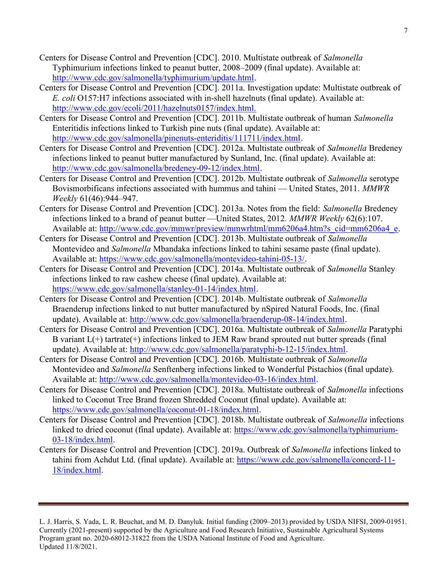- Centers for Disease Control and Prevention [CDC]. 2010. Multistate outbreak of Salmonella Typhimurium infections linked to peanut butter, 2008–2009 (final update). Available at: http://www.cdc.gov/salmonella/typhimurium/update.html.
- Centers for Disease Control and Prevention [CDC]. 2011a. Investigation update: Multistate outbreak of E. coli O157:H7 infections associated with in-shell hazelnuts (final update). Available at: http://www.cdc.gov/ecoli/2011/hazelnuts0157/index.html.
- Centers for Disease Control and Prevention [CDC]. 2011b. Multistate outbreak of human Salmonella Enteritidis infections linked to Turkish pine nuts (final update). Available at: http://www.cdc.gov/salmonella/pinenuts-enteriditis/111711/index.html.
- Centers for Disease Control and Prevention [CDC]. 2012a. Multistate outbreak of Salmonella Bredeney infections linked to peanut butter manufactured by Sunland, Inc. (final update). Available at: http://www.cdc.gov/salmonella/bredeney-09-12/index.html.
- Centers for Disease Control and Prevention [CDC]. 2012b. Multistate outbreak of Salmonella serotype Bovismorbificans infections associated with hummus and tahini — United States, 2011. MMWR Weekly 61(46):944–947.
- Centers for Disease Control and Prevention [CDC]. 2013a. Notes from the field: Salmonella Bredeney infections linked to a brand of peanut butter —United States, 2012. MMWR Weekly 62(6):107. Available at: http://www.cdc.gov/mmwr/preview/mmwrhtml/mm6206a4.htm?s\_cid=mm6206a4\_e.
- Centers for Disease Control and Prevention [CDC]. 2013b. Multistate outbreak of Salmonella Montevideo and Salmonella Mbandaka infections linked to tahini sesame paste (final update). Available at: https://www.cdc.gov/salmonella/montevideo-tahini-05-13/.
- Centers for Disease Control and Prevention [CDC]. 2014a. Multistate outbreak of Salmonella Stanley infections linked to raw cashew cheese (final update). Available at: https://www.cdc.gov/salmonella/stanley-01-14/index.html.
- Centers for Disease Control and Prevention [CDC]. 2014b. Multistate outbreak of Salmonella Braenderup infections linked to nut butter manufactured by nSpired Natural Foods, Inc. (final update). Available at: http://www.cdc.gov/salmonella/braenderup-08-14/index.html.
- Centers for Disease Control and Prevention [CDC]. 2016a. Multistate outbreak of Salmonella Paratyphi B variant L(+) tartrate(+) infections linked to JEM Raw brand sprouted nut butter spreads (final update). Available at: http://www.cdc.gov/salmonella/paratyphi-b-12-15/index.html.
- Centers for Disease Control and Prevention [CDC]. 2016b. Multistate outbreak of Salmonella Montevideo and Salmonella Senftenberg infections linked to Wonderful Pistachios (final update). Available at: http://www.cdc.gov/salmonella/montevideo-03-16/index.html.
- Centers for Disease Control and Prevention [CDC]. 2018a. Multistate outbreak of Salmonella infections linked to Coconut Tree Brand frozen Shredded Coconut (final update). Available at: https://www.cdc.gov/salmonella/coconut-01-18/index.html.
- Centers for Disease Control and Prevention [CDC]. 2018b. Multistate outbreak of Salmonella infections linked to dried coconut (final update). Available at: https://www.cdc.gov/salmonella/typhimurium-03-18/index.html.
- Centers for Disease Control and Prevention [CDC]. 2019a. Outbreak of Salmonella infections linked to tahini from Achdut Ltd. (final update). Available at: https://www.cdc.gov/salmonella/concord-11- 18/index.html.

L. J. Harris, S. Yada, L. R. Beuchat, and M. D. Danyluk. Initial funding (2009–2013) provided by USDA NIFSI, 2009-01951. Currently (2021-present) supported by the Agriculture and Food Research Initiative, Sustainable Agricultural Systems Program grant no. 2020-68012-31822 from the USDA National Institute of Food and Agriculture. Updated 11/8/2021.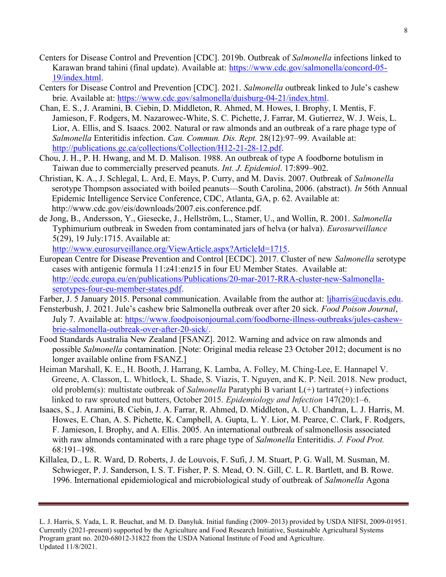- Centers for Disease Control and Prevention [CDC]. 2019b. Outbreak of Salmonella infections linked to Karawan brand tahini (final update). Available at: https://www.cdc.gov/salmonella/concord-05- 19/index.html.
- Centers for Disease Control and Prevention [CDC]. 2021. Salmonella outbreak linked to Jule's cashew brie. Available at: https://www.cdc.gov/salmonella/duisburg-04-21/index.html.
- Chan, E. S., J. Aramini, B. Ciebin, D. Middleton, R. Ahmed, M. Howes, I. Brophy, I. Mentis, F. Jamieson, F. Rodgers, M. Nazarowec-White, S. C. Pichette, J. Farrar, M. Gutierrez, W. J. Weis, L. Lior, A. Ellis, and S. Isaacs. 2002. Natural or raw almonds and an outbreak of a rare phage type of Salmonella Enteritidis infection. Can. Commun. Dis. Rept. 28(12):97–99. Available at: http://publications.gc.ca/collections/Collection/H12-21-28-12.pdf.
- Chou, J. H., P. H. Hwang, and M. D. Malison. 1988. An outbreak of type A foodborne botulism in Taiwan due to commercially preserved peanuts. Int. J. Epidemiol. 17:899–902.
- Christian, K. A., J. Schlegal, L. Ard, E. Mays, P. Curry, and M. Davis. 2007. Outbreak of Salmonella serotype Thompson associated with boiled peanuts—South Carolina, 2006. (abstract). In 56th Annual Epidemic Intelligence Service Conference, CDC, Atlanta, GA, p. 62. Available at: http://www.cdc.gov/eis/downloads/2007.eis.conference.pdf.
- de Jong, B., Andersson, Y., Giesecke, J., Hellström, L., Stamer, U., and Wollin, R. 2001. Salmonella Typhimurium outbreak in Sweden from contaminated jars of helva (or halva). Eurosurveillance 5(29), 19 July:1715. Available at:

http://www.eurosurveillance.org/ViewArticle.aspx?ArticleId=1715.

- European Centre for Disease Prevention and Control [ECDC]. 2017. Cluster of new Salmonella serotype cases with antigenic formula 11:z41:enz15 in four EU Member States. Available at: http://ecdc.europa.eu/en/publications/Publications/20-mar-2017-RRA-cluster-new-Salmonellaserotypes-four-eu-member-states.pdf.
- Farber, J. 5 January 2015. Personal communication. Available from the author at: ljharris@ucdavis.edu.
- Fensterbush, J. 2021. Jule's cashew brie Salmonella outbreak over after 20 sick. Food Poison Journal, July 7. Available at: https://www.foodpoisonjournal.com/foodborne-illness-outbreaks/jules-cashewbrie-salmonella-outbreak-over-after-20-sick/.
- Food Standards Australia New Zealand [FSANZ]. 2012. Warning and advice on raw almonds and possible Salmonella contamination. [Note: Original media release 23 October 2012; document is no longer available online from FSANZ.]
- Heiman Marshall, K. E., H. Booth, J. Harrang, K. Lamba, A. Folley, M. Ching-Lee, E. Hannapel V. Greene, A. Classon, L. Whitlock, L. Shade, S. Viazis, T. Nguyen, and K. P. Neil. 2018. New product, old problem(s): multistate outbreak of *Salmonella* Paratyphi B variant  $L(+)$  tartrate(+) infections linked to raw sprouted nut butters, October 2015. Epidemiology and Infection 147(20):1–6.
- Isaacs, S., J. Aramini, B. Ciebin, J. A. Farrar, R. Ahmed, D. Middleton, A. U. Chandran, L. J. Harris, M. Howes, E. Chan, A. S. Pichette, K. Campbell, A. Gupta, L. Y. Lior, M. Pearce, C. Clark, F. Rodgers, F. Jamieson, I. Brophy, and A. Ellis. 2005. An international outbreak of salmonellosis associated with raw almonds contaminated with a rare phage type of Salmonella Enteritidis. J. Food Prot. 68:191–198.
- Killalea, D., L. R. Ward, D. Roberts, J. de Louvois, F. Sufi, J. M. Stuart, P. G. Wall, M. Susman, M. Schwieger, P. J. Sanderson, I. S. T. Fisher, P. S. Mead, O. N. Gill, C. L. R. Bartlett, and B. Rowe. 1996. International epidemiological and microbiological study of outbreak of Salmonella Agona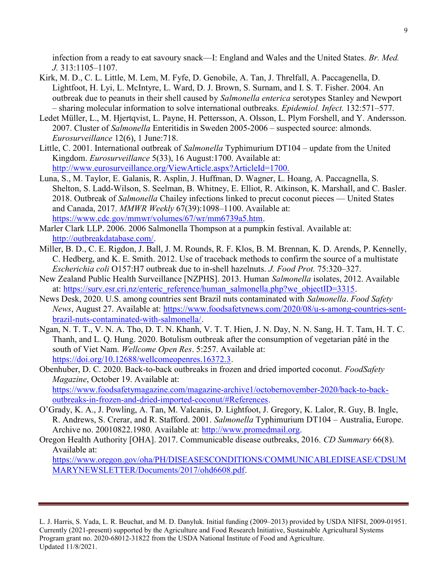infection from a ready to eat savoury snack—I: England and Wales and the United States. Br. Med. J. 313:1105–1107.

- Kirk, M. D., C. L. Little, M. Lem, M. Fyfe, D. Genobile, A. Tan, J. Threlfall, A. Paccagenella, D. Lightfoot, H. Lyi, L. McIntyre, L. Ward, D. J. Brown, S. Surnam, and I. S. T. Fisher. 2004. An outbreak due to peanuts in their shell caused by Salmonella enterica serotypes Stanley and Newport – sharing molecular information to solve international outbreaks. Epidemiol. Infect. 132:571–577.
- Ledet Müller, L., M. Hjertqvist, L. Payne, H. Pettersson, A. Olsson, L. Plym Forshell, and Y. Andersson. 2007. Cluster of Salmonella Enteritidis in Sweden 2005-2006 – suspected source: almonds. Eurosurveillance 12(6), 1 June:718.
- Little, C. 2001. International outbreak of Salmonella Typhimurium DT104 update from the United Kingdom. Eurosurveillance 5(33), 16 August:1700. Available at: http://www.eurosurveillance.org/ViewArticle.aspx?ArticleId=1700.
- Luna, S., M. Taylor, E. Galanis, R. Asplin, J. Huffman, D. Wagner, L. Hoang, A. Paccagnella, S. Shelton, S. Ladd-Wilson, S. Seelman, B. Whitney, E. Elliot, R. Atkinson, K. Marshall, and C. Basler. 2018. Outbreak of Salmonella Chailey infections linked to precut coconut pieces — United States and Canada, 2017. MMWR Weekly 67(39):1098–1100. Available at: https://www.cdc.gov/mmwr/volumes/67/wr/mm6739a5.htm.
- Marler Clark LLP. 2006. 2006 Salmonella Thompson at a pumpkin festival. Available at: http://outbreakdatabase.com/.
- Miller, B. D., C. E. Rigdon, J. Ball, J. M. Rounds, R. F. Klos, B. M. Brennan, K. D. Arends, P. Kennelly, C. Hedberg, and K. E. Smith. 2012. Use of traceback methods to confirm the source of a multistate Escherichia coli O157:H7 outbreak due to in-shell hazelnuts. J. Food Prot. 75:320–327.
- New Zealand Public Health Surveillance [NZPHS]. 2013. Human Salmonella isolates, 2012. Available at: https://surv.esr.cri.nz/enteric\_reference/human\_salmonella.php?we\_objectID=3315.
- News Desk, 2020. U.S. among countries sent Brazil nuts contaminated with Salmonella. Food Safety News, August 27. Available at: https://www.foodsafetynews.com/2020/08/u-s-among-countries-sentbrazil-nuts-contaminated-with-salmonella/.
- Ngan, N. T. T., V. N. A. Tho, D. T. N. Khanh, V. T. T. Hien, J. N. Day, N. N. Sang, H. T. Tam, H. T. C. Thanh, and L. Q. Hung. 2020. Botulism outbreak after the consumption of vegetarian pâté in the south of Viet Nam. Wellcome Open Res. 5:257. Available at: https://doi.org/10.12688/wellcomeopenres.16372.3.
- Obenhuber, D. C. 2020. Back-to-back outbreaks in frozen and dried imported coconut. FoodSafety Magazine, October 19. Available at: https://www.foodsafetymagazine.com/magazine-archive1/octobernovember-2020/back-to-backoutbreaks-in-frozen-and-dried-imported-coconut/#References.
- O'Grady, K. A., J. Powling, A. Tan, M. Valcanis, D. Lightfoot, J. Gregory, K. Lalor, R. Guy, B. Ingle, R. Andrews, S. Crerar, and R. Stafford. 2001. Salmonella Typhimurium DT104 – Australia, Europe. Archive no. 20010822.1980. Available at: http://www.promedmail.org.
- Oregon Health Authority [OHA]. 2017. Communicable disease outbreaks, 2016. CD Summary 66(8). Available at:

https://www.oregon.gov/oha/PH/DISEASESCONDITIONS/COMMUNICABLEDISEASE/CDSUM MARYNEWSLETTER/Documents/2017/ohd6608.pdf.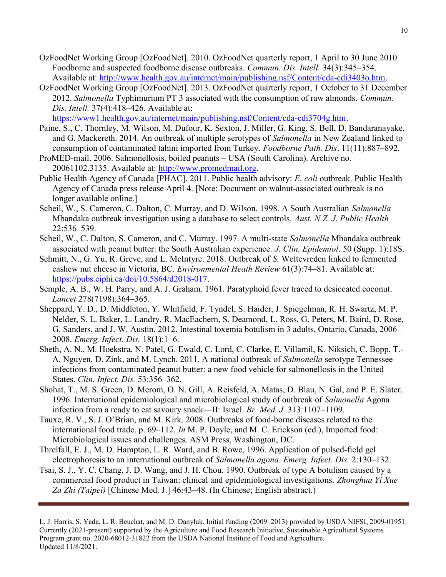- OzFoodNet Working Group [OzFoodNet]. 2010. OzFoodNet quarterly report, 1 April to 30 June 2010. Foodborne and suspected foodborne disease outbreaks. Commun. Dis. Intell. 34(3):345–354. Available at: http://www.health.gov.au/internet/main/publishing.nsf/Content/cda-cdi3403o.htm.
- OzFoodNet Working Group [OzFoodNet]. 2013. OzFoodNet quarterly report, 1 October to 31 December 2012. Salmonella Typhimurium PT 3 associated with the consumption of raw almonds. Commun. Dis. Intell. 37(4):418–426. Available at:

https://www1.health.gov.au/internet/main/publishing.nsf/Content/cda-cdi3704g.htm.

- Paine, S., C. Thornley, M. Wilson, M. Dufour, K. Sexton, J. Miller, G. King, S. Bell, D. Bandaranayake, and G. Mackereth. 2014. An outbreak of multiple serotypes of Salmonella in New Zealand linked to consumption of contaminated tahini imported from Turkey. Foodborne Path. Dis. 11(11):887–892.
- ProMED-mail. 2006. Salmonellosis, boiled peanuts USA (South Carolina). Archive no. 20061102.3135. Available at: http://www.promedmail.org.
- Public Health Agency of Canada [PHAC]. 2011. Public health advisory: E. coli outbreak. Public Health Agency of Canada press release April 4. [Note: Document on walnut-associated outbreak is no longer available online.]
- Scheil, W., S. Cameron, C. Dalton, C. Murray, and D. Wilson. 1998. A South Australian Salmonella Mbandaka outbreak investigation using a database to select controls. Aust. N.Z. J. Public Health 22:536–539.
- Scheil, W., C. Dalton, S. Cameron, and C. Murray. 1997. A multi-state Salmonella Mbandaka outbreak associated with peanut butter: the South Australian experience. J. Clin. Epidemiol. 50 (Supp. 1):18S.
- Schmitt, N., G. Yu, R. Greve, and L. McIntyre. 2018. Outbreak of S. Weltevreden linked to fermented cashew nut cheese in Victoria, BC. Environmental Heath Review 61(3):74–81. Available at: https://pubs.ciphi.ca/doi/10.5864/d2018-017.
- Semple, A. B., W. H. Parry, and A. J. Graham. 1961. Paratyphoid fever traced to desiccated coconut. Lancet 278(7198):364–365.
- Sheppard, Y. D., D. Middleton, Y. Whitfield, F. Tyndel, S. Haider, J. Spiegelman, R. H. Swartz, M. P. Nelder, S. L. Baker, L. Landry, R. MacEachern, S. Deamond, L. Ross, G. Peters, M. Baird, D. Rose, G. Sanders, and J. W. Austin. 2012. Intestinal toxemia botulism in 3 adults, Ontario, Canada, 2006– 2008. Emerg. Infect. Dis. 18(1):1–6.
- Sheth, A. N., M. Hoekstra, N. Patel, G. Ewald, C. Lord, C. Clarke, E. Villamil, K. Niksich, C. Bopp, T.- A. Nguyen, D. Zink, and M. Lynch. 2011. A national outbreak of Salmonella serotype Tennessee infections from contaminated peanut butter: a new food vehicle for salmonellosis in the United States. Clin. Infect. Dis. 53:356–362.
- Shohat, T., M. S. Green, D. Merom, O. N. Gill, A. Reisfeld, A. Matas, D. Blau, N. Gal, and P. E. Slater. 1996. International epidemiological and microbiological study of outbreak of Salmonella Agona infection from a ready to eat savoury snack—II: Israel. Br. Med. J. 313:1107–1109.
- Tauxe, R. V., S. J. O'Brian, and M. Kirk. 2008. Outbreaks of food-borne diseases related to the international food trade. p. 69–112. In M. P. Doyle, and M. C. Erickson (ed.), Imported food: Microbiological issues and challenges. ASM Press, Washington, DC.
- Threlfall, E. J., M. D. Hampton, L. R. Ward, and B. Rowe, 1996. Application of pulsed-field gel electrophoresis to an international outbreak of Salmonella agona. Emerg. Infect. Dis. 2:130–132.
- Tsai, S. J., Y. C. Chang, J. D. Wang, and J. H. Chou. 1990. Outbreak of type A botulism caused by a commercial food product in Taiwan: clinical and epidemiological investigations. Zhonghua Yi Xue Za Zhi (Taipei) [Chinese Med. J.] 46:43–48. (In Chinese; English abstract.)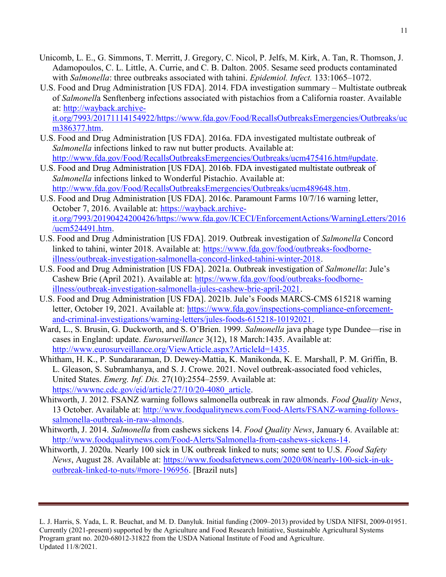- Unicomb, L. E., G. Simmons, T. Merritt, J. Gregory, C. Nicol, P. Jelfs, M. Kirk, A. Tan, R. Thomson, J. Adamopoulos, C. L. Little, A. Currie, and C. B. Dalton. 2005. Sesame seed products contaminated with Salmonella: three outbreaks associated with tahini. Epidemiol. Infect. 133:1065–1072.
- U.S. Food and Drug Administration [US FDA]. 2014. FDA investigation summary Multistate outbreak of Salmonella Senftenberg infections associated with pistachios from a California roaster. Available at: http://wayback.archive-

it.org/7993/20171114154922/https://www.fda.gov/Food/RecallsOutbreaksEmergencies/Outbreaks/uc m386377.htm.

- U.S. Food and Drug Administration [US FDA]. 2016a. FDA investigated multistate outbreak of Salmonella infections linked to raw nut butter products. Available at: http://www.fda.gov/Food/RecallsOutbreaksEmergencies/Outbreaks/ucm475416.htm#update.
- U.S. Food and Drug Administration [US FDA]. 2016b. FDA investigated multistate outbreak of Salmonella infections linked to Wonderful Pistachio. Available at: http://www.fda.gov/Food/RecallsOutbreaksEmergencies/Outbreaks/ucm489648.htm.
- U.S. Food and Drug Administration [US FDA]. 2016c. Paramount Farms 10/7/16 warning letter, October 7, 2016. Available at: https://wayback.archiveit.org/7993/20190424200426/https://www.fda.gov/ICECI/EnforcementActions/WarningLetters/2016 /ucm524491.htm.
- U.S. Food and Drug Administration [US FDA]. 2019. Outbreak investigation of Salmonella Concord linked to tahini, winter 2018. Available at: https://www.fda.gov/food/outbreaks-foodborneillness/outbreak-investigation-salmonella-concord-linked-tahini-winter-2018.
- U.S. Food and Drug Administration [US FDA]. 2021a. Outbreak investigation of Salmonella: Jule's Cashew Brie (April 2021). Available at: https://www.fda.gov/food/outbreaks-foodborneillness/outbreak-investigation-salmonella-jules-cashew-brie-april-2021.
- U.S. Food and Drug Administration [US FDA]. 2021b. Jule's Foods MARCS-CMS 615218 warning letter, October 19, 2021. Available at: https://www.fda.gov/inspections-compliance-enforcementand-criminal-investigations/warning-letters/jules-foods-615218-10192021.
- Ward, L., S. Brusin, G. Duckworth, and S. O'Brien. 1999. Salmonella java phage type Dundee—rise in cases in England: update. Eurosurveillance 3(12), 18 March:1435. Available at: http://www.eurosurveillance.org/ViewArticle.aspx?ArticleId=1435.
- Whitham, H. K., P. Sundararaman, D. Dewey-Mattia, K. Manikonda, K. E. Marshall, P. M. Griffin, B. L. Gleason, S. Subramhanya, and S. J. Crowe. 2021. Novel outbreak-associated food vehicles, United States. Emerg. Inf. Dis. 27(10):2554–2559. Available at: https://wwwnc.cdc.gov/eid/article/27/10/20-4080\_article.
- Whitworth, J. 2012. FSANZ warning follows salmonella outbreak in raw almonds. Food Ouality News, 13 October. Available at: http://www.foodqualitynews.com/Food-Alerts/FSANZ-warning-followssalmonella-outbreak-in-raw-almonds.
- Whitworth, J. 2014. Salmonella from cashews sickens 14. Food Quality News, January 6. Available at: http://www.foodqualitynews.com/Food-Alerts/Salmonella-from-cashews-sickens-14.
- Whitworth, J. 2020a. Nearly 100 sick in UK outbreak linked to nuts; some sent to U.S. Food Safety News, August 28. Available at: https://www.foodsafetynews.com/2020/08/nearly-100-sick-in-ukoutbreak-linked-to-nuts/#more-196956. [Brazil nuts]

L. J. Harris, S. Yada, L. R. Beuchat, and M. D. Danyluk. Initial funding (2009–2013) provided by USDA NIFSI, 2009-01951. Currently (2021-present) supported by the Agriculture and Food Research Initiative, Sustainable Agricultural Systems Program grant no. 2020-68012-31822 from the USDA National Institute of Food and Agriculture. Updated 11/8/2021.